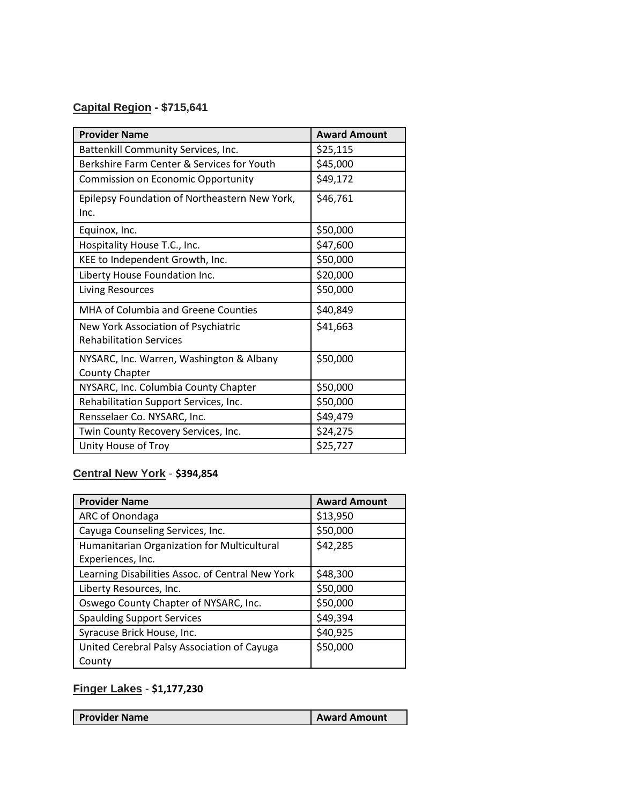## **Capital Region - \$715,641**

| <b>Provider Name</b>                                                  | <b>Award Amount</b> |
|-----------------------------------------------------------------------|---------------------|
| Battenkill Community Services, Inc.                                   | \$25,115            |
| Berkshire Farm Center & Services for Youth                            | \$45,000            |
| Commission on Economic Opportunity                                    | \$49,172            |
| Epilepsy Foundation of Northeastern New York,<br>Inc.                 | \$46,761            |
| Equinox, Inc.                                                         | \$50,000            |
| Hospitality House T.C., Inc.                                          | \$47,600            |
| KEE to Independent Growth, Inc.                                       | \$50,000            |
| Liberty House Foundation Inc.                                         | \$20,000            |
| <b>Living Resources</b>                                               | \$50,000            |
| MHA of Columbia and Greene Counties                                   | \$40,849            |
| New York Association of Psychiatric<br><b>Rehabilitation Services</b> | \$41,663            |
| NYSARC, Inc. Warren, Washington & Albany<br><b>County Chapter</b>     | \$50,000            |
| NYSARC, Inc. Columbia County Chapter                                  | \$50,000            |
| Rehabilitation Support Services, Inc.                                 | \$50,000            |
| Rensselaer Co. NYSARC, Inc.                                           | \$49,479            |
| Twin County Recovery Services, Inc.                                   | \$24,275            |
| Unity House of Troy                                                   | \$25,727            |

## **Central New York** - **\$394,854**

| <b>Provider Name</b>                             | <b>Award Amount</b> |
|--------------------------------------------------|---------------------|
| ARC of Onondaga                                  | \$13,950            |
| Cayuga Counseling Services, Inc.                 | \$50,000            |
| Humanitarian Organization for Multicultural      | \$42,285            |
| Experiences, Inc.                                |                     |
| Learning Disabilities Assoc. of Central New York | \$48,300            |
| Liberty Resources, Inc.                          | \$50,000            |
| Oswego County Chapter of NYSARC, Inc.            | \$50,000            |
| <b>Spaulding Support Services</b>                | \$49,394            |
| Syracuse Brick House, Inc.                       | \$40,925            |
| United Cerebral Palsy Association of Cayuga      | \$50,000            |
| County                                           |                     |

# **Finger Lakes** - **\$1,177,230**

| <b>Provider Name</b> | <b>Award Amount</b> |
|----------------------|---------------------|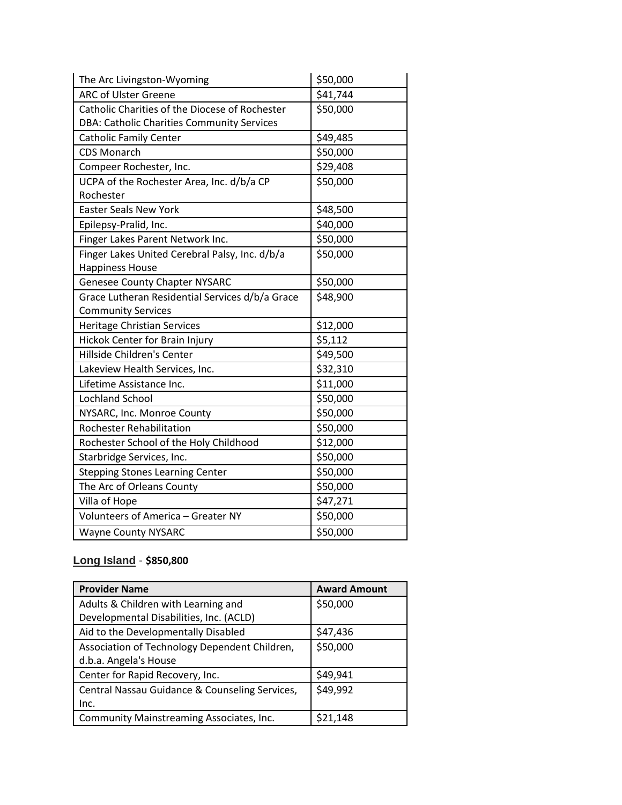| The Arc Livingston-Wyoming                      | \$50,000 |
|-------------------------------------------------|----------|
| <b>ARC of Ulster Greene</b>                     | \$41,744 |
| Catholic Charities of the Diocese of Rochester  | \$50,000 |
| DBA: Catholic Charities Community Services      |          |
| <b>Catholic Family Center</b>                   | \$49,485 |
| <b>CDS Monarch</b>                              | \$50,000 |
| Compeer Rochester, Inc.                         | \$29,408 |
| UCPA of the Rochester Area, Inc. d/b/a CP       | \$50,000 |
| Rochester                                       |          |
| <b>Easter Seals New York</b>                    | \$48,500 |
| Epilepsy-Pralid, Inc.                           | \$40,000 |
| Finger Lakes Parent Network Inc.                | \$50,000 |
| Finger Lakes United Cerebral Palsy, Inc. d/b/a  | \$50,000 |
| <b>Happiness House</b>                          |          |
| <b>Genesee County Chapter NYSARC</b>            | \$50,000 |
| Grace Lutheran Residential Services d/b/a Grace | \$48,900 |
| <b>Community Services</b>                       |          |
| Heritage Christian Services                     | \$12,000 |
| Hickok Center for Brain Injury                  | \$5,112  |
| Hillside Children's Center                      | \$49,500 |
| Lakeview Health Services, Inc.                  | \$32,310 |
| Lifetime Assistance Inc.                        | \$11,000 |
| <b>Lochland School</b>                          | \$50,000 |
| NYSARC, Inc. Monroe County                      | \$50,000 |
| <b>Rochester Rehabilitation</b>                 | \$50,000 |
| Rochester School of the Holy Childhood          | \$12,000 |
| Starbridge Services, Inc.                       | \$50,000 |
| <b>Stepping Stones Learning Center</b>          | \$50,000 |
| The Arc of Orleans County                       | \$50,000 |
| Villa of Hope                                   | \$47,271 |
| Volunteers of America - Greater NY              | \$50,000 |
| <b>Wayne County NYSARC</b>                      | \$50,000 |

### **Long Island** - **\$850,800**

| <b>Provider Name</b>                           | <b>Award Amount</b> |
|------------------------------------------------|---------------------|
| Adults & Children with Learning and            | \$50,000            |
| Developmental Disabilities, Inc. (ACLD)        |                     |
| Aid to the Developmentally Disabled            | \$47,436            |
| Association of Technology Dependent Children,  | \$50,000            |
| d.b.a. Angela's House                          |                     |
| Center for Rapid Recovery, Inc.                | \$49,941            |
| Central Nassau Guidance & Counseling Services, | \$49,992            |
| Inc.                                           |                     |
| Community Mainstreaming Associates, Inc.       | \$21,148            |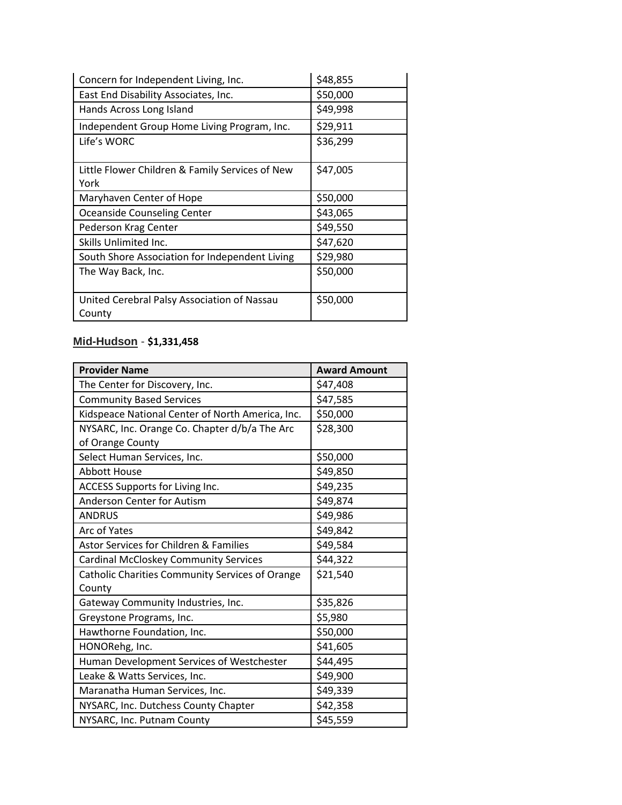| Concern for Independent Living, Inc.                  | \$48,855 |
|-------------------------------------------------------|----------|
| East End Disability Associates, Inc.                  | \$50,000 |
| Hands Across Long Island                              | \$49,998 |
| Independent Group Home Living Program, Inc.           | \$29,911 |
| Life's WORC                                           | \$36,299 |
| Little Flower Children & Family Services of New       | \$47,005 |
| York                                                  |          |
| Maryhaven Center of Hope                              | \$50,000 |
| Oceanside Counseling Center                           | \$43,065 |
| Pederson Krag Center                                  | \$49,550 |
| Skills Unlimited Inc.                                 | \$47,620 |
| South Shore Association for Independent Living        | \$29,980 |
| The Way Back, Inc.                                    | \$50,000 |
| United Cerebral Palsy Association of Nassau<br>County | \$50,000 |

### **Mid-Hudson** - **\$1,331,458**

| <b>Provider Name</b>                             | <b>Award Amount</b> |
|--------------------------------------------------|---------------------|
| The Center for Discovery, Inc.                   | \$47,408            |
| <b>Community Based Services</b>                  | \$47,585            |
| Kidspeace National Center of North America, Inc. | \$50,000            |
| NYSARC, Inc. Orange Co. Chapter d/b/a The Arc    | \$28,300            |
| of Orange County                                 |                     |
| Select Human Services, Inc.                      | \$50,000            |
| <b>Abbott House</b>                              | \$49,850            |
| ACCESS Supports for Living Inc.                  | \$49,235            |
| Anderson Center for Autism                       | \$49,874            |
| <b>ANDRUS</b>                                    | \$49,986            |
| Arc of Yates                                     | \$49,842            |
| Astor Services for Children & Families           | \$49,584            |
| <b>Cardinal McCloskey Community Services</b>     | \$44,322            |
| Catholic Charities Community Services of Orange  | \$21,540            |
| County                                           |                     |
| Gateway Community Industries, Inc.               | \$35,826            |
| Greystone Programs, Inc.                         | \$5,980             |
| Hawthorne Foundation, Inc.                       | \$50,000            |
| HONORehg, Inc.                                   | \$41,605            |
| Human Development Services of Westchester        | \$44,495            |
| Leake & Watts Services, Inc.                     | \$49,900            |
| Maranatha Human Services, Inc.                   | \$49,339            |
| NYSARC, Inc. Dutchess County Chapter             | \$42,358            |
| NYSARC, Inc. Putnam County                       | \$45,559            |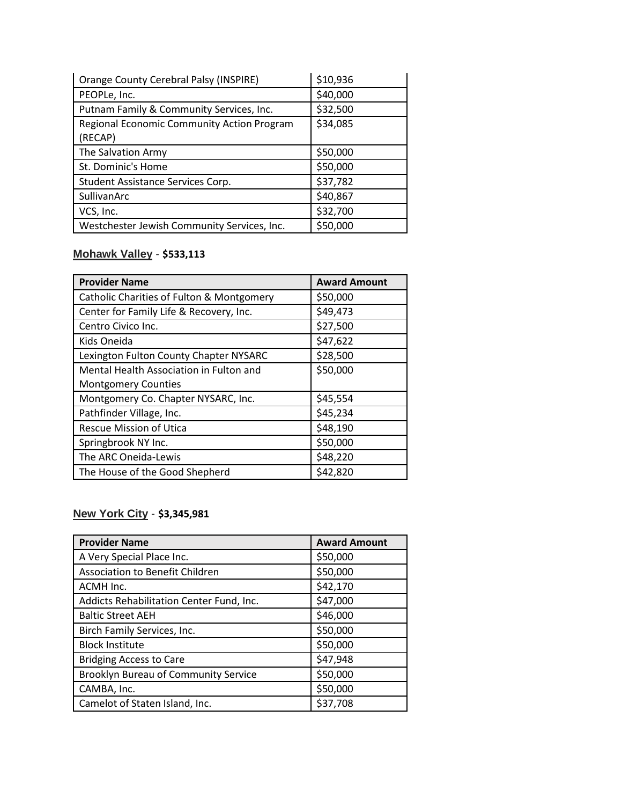| <b>Orange County Cerebral Palsy (INSPIRE)</b>         | \$10,936 |
|-------------------------------------------------------|----------|
| PEOPLe, Inc.                                          | \$40,000 |
| Putnam Family & Community Services, Inc.              | \$32,500 |
| Regional Economic Community Action Program<br>(RECAP) | \$34,085 |
| The Salvation Army                                    | \$50,000 |
| St. Dominic's Home                                    | \$50,000 |
| Student Assistance Services Corp.                     | \$37,782 |
| SullivanArc                                           | \$40,867 |
| VCS, Inc.                                             | \$32,700 |
| Westchester Jewish Community Services, Inc.           | \$50,000 |

### **Mohawk Valley** - **\$533,113**

| <b>Provider Name</b>                      | <b>Award Amount</b> |
|-------------------------------------------|---------------------|
| Catholic Charities of Fulton & Montgomery | \$50,000            |
| Center for Family Life & Recovery, Inc.   | \$49,473            |
| Centro Civico Inc.                        | \$27,500            |
| Kids Oneida                               | \$47,622            |
| Lexington Fulton County Chapter NYSARC    | \$28,500            |
| Mental Health Association in Fulton and   | \$50,000            |
| <b>Montgomery Counties</b>                |                     |
| Montgomery Co. Chapter NYSARC, Inc.       | \$45,554            |
| Pathfinder Village, Inc.                  | \$45,234            |
| Rescue Mission of Utica                   | \$48,190            |
| Springbrook NY Inc.                       | \$50,000            |
| The ARC Oneida-Lewis                      | \$48,220            |
| The House of the Good Shepherd            | \$42,820            |

### **New York City** - **\$3,345,981**

| <b>Provider Name</b>                        | <b>Award Amount</b> |
|---------------------------------------------|---------------------|
| A Very Special Place Inc.                   | \$50,000            |
| Association to Benefit Children             | \$50,000            |
| ACMH Inc.                                   | \$42,170            |
| Addicts Rehabilitation Center Fund, Inc.    | \$47,000            |
| <b>Baltic Street AEH</b>                    | \$46,000            |
| Birch Family Services, Inc.                 | \$50,000            |
| <b>Block Institute</b>                      | \$50,000            |
| <b>Bridging Access to Care</b>              | \$47,948            |
| <b>Brooklyn Bureau of Community Service</b> | \$50,000            |
| CAMBA, Inc.                                 | \$50,000            |
| Camelot of Staten Island, Inc.              | \$37,708            |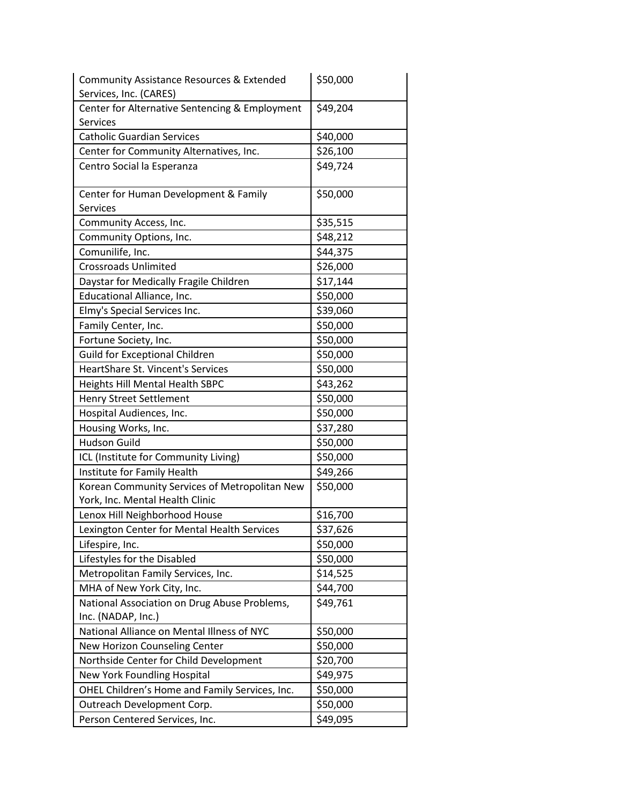| <b>Community Assistance Resources &amp; Extended</b><br>Services, Inc. (CARES)   | \$50,000             |
|----------------------------------------------------------------------------------|----------------------|
| Center for Alternative Sentencing & Employment                                   | \$49,204             |
| Services                                                                         |                      |
| <b>Catholic Guardian Services</b>                                                | \$40,000             |
| Center for Community Alternatives, Inc.                                          | \$26,100             |
| Centro Social la Esperanza                                                       | \$49,724             |
| Center for Human Development & Family<br><b>Services</b>                         | \$50,000             |
| Community Access, Inc.                                                           | \$35,515             |
| Community Options, Inc.                                                          | \$48,212             |
| Comunilife, Inc.                                                                 | \$44,375             |
| <b>Crossroads Unlimited</b>                                                      | \$26,000             |
| Daystar for Medically Fragile Children                                           | \$17,144             |
| Educational Alliance, Inc.                                                       | \$50,000             |
| Elmy's Special Services Inc.                                                     | \$39,060             |
| Family Center, Inc.                                                              | \$50,000             |
| Fortune Society, Inc.                                                            | \$50,000             |
| <b>Guild for Exceptional Children</b>                                            | \$50,000             |
| HeartShare St. Vincent's Services                                                | \$50,000             |
| <b>Heights Hill Mental Health SBPC</b>                                           | \$43,262             |
| <b>Henry Street Settlement</b>                                                   | \$50,000             |
| Hospital Audiences, Inc.                                                         | \$50,000             |
| Housing Works, Inc.                                                              | \$37,280             |
| <b>Hudson Guild</b>                                                              | \$50,000             |
| ICL (Institute for Community Living)                                             | \$50,000             |
| Institute for Family Health                                                      | \$49,266             |
| Korean Community Services of Metropolitan New<br>York, Inc. Mental Health Clinic | \$50,000             |
| Lenox Hill Neighborhood House                                                    | \$16,700             |
| Lexington Center for Mental Health Services                                      | $\overline{$}37,626$ |
| Lifespire, Inc.                                                                  | \$50,000             |
| Lifestyles for the Disabled                                                      | \$50,000             |
| Metropolitan Family Services, Inc.                                               | \$14,525             |
| MHA of New York City, Inc.                                                       | \$44,700             |
| National Association on Drug Abuse Problems,<br>Inc. (NADAP, Inc.)               | \$49,761             |
| National Alliance on Mental Illness of NYC                                       | \$50,000             |
| New Horizon Counseling Center                                                    | \$50,000             |
| Northside Center for Child Development                                           | \$20,700             |
| New York Foundling Hospital                                                      | \$49,975             |
| OHEL Children's Home and Family Services, Inc.                                   | \$50,000             |
| Outreach Development Corp.                                                       | \$50,000             |
| Person Centered Services, Inc.                                                   | \$49,095             |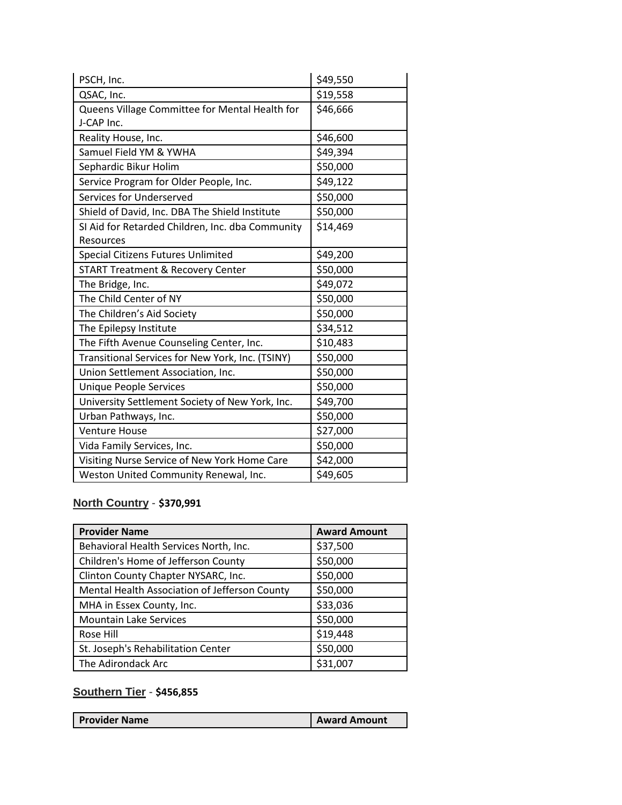| PSCH, Inc.                                       | \$49,550 |
|--------------------------------------------------|----------|
| QSAC, Inc.                                       | \$19,558 |
| Queens Village Committee for Mental Health for   | \$46,666 |
| J-CAP Inc.                                       |          |
| Reality House, Inc.                              | \$46,600 |
| Samuel Field YM & YWHA                           | \$49,394 |
| Sephardic Bikur Holim                            | \$50,000 |
| Service Program for Older People, Inc.           | \$49,122 |
| Services for Underserved                         | \$50,000 |
| Shield of David, Inc. DBA The Shield Institute   | \$50,000 |
| SI Aid for Retarded Children, Inc. dba Community | \$14,469 |
| Resources                                        |          |
| Special Citizens Futures Unlimited               | \$49,200 |
| <b>START Treatment &amp; Recovery Center</b>     | \$50,000 |
| The Bridge, Inc.                                 | \$49,072 |
| The Child Center of NY                           | \$50,000 |
| The Children's Aid Society                       | \$50,000 |
| The Epilepsy Institute                           | \$34,512 |
| The Fifth Avenue Counseling Center, Inc.         | \$10,483 |
| Transitional Services for New York, Inc. (TSINY) | \$50,000 |
| Union Settlement Association, Inc.               | \$50,000 |
| Unique People Services                           | \$50,000 |
| University Settlement Society of New York, Inc.  | \$49,700 |
| Urban Pathways, Inc.                             | \$50,000 |
| <b>Venture House</b>                             | \$27,000 |
| Vida Family Services, Inc.                       | \$50,000 |
| Visiting Nurse Service of New York Home Care     | \$42,000 |
| Weston United Community Renewal, Inc.            | \$49,605 |

### **North Country** - **\$370,991**

| <b>Provider Name</b>                          | <b>Award Amount</b> |
|-----------------------------------------------|---------------------|
| Behavioral Health Services North, Inc.        | \$37,500            |
| Children's Home of Jefferson County           | \$50,000            |
| Clinton County Chapter NYSARC, Inc.           | \$50,000            |
| Mental Health Association of Jefferson County | \$50,000            |
| MHA in Essex County, Inc.                     | \$33,036            |
| <b>Mountain Lake Services</b>                 | \$50,000            |
| Rose Hill                                     | \$19,448            |
| St. Joseph's Rehabilitation Center            | \$50,000            |
| The Adirondack Arc                            | \$31,007            |

## **Southern Tier** - **\$456,855**

| <b>I</b> Provider Name | <b>Award Amount</b> |
|------------------------|---------------------|
|                        |                     |